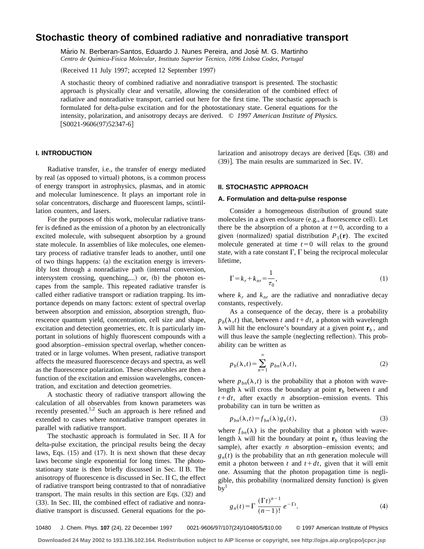# **Stochastic theory of combined radiative and nonradiative transport**

Mário N. Berberan-Santos, Eduardo J. Nunes Pereira, and José M. G. Martinho *Centro de Quı´mica-Fı´sica Molecular, Instituto Superior Te´cnico, 1096 Lisboa Codex, Portugal*

(Received 11 July 1997; accepted 12 September 1997)

A stochastic theory of combined radiative and nonradiative transport is presented. The stochastic approach is physically clear and versatile, allowing the consideration of the combined effect of radiative and nonradiative transport, carried out here for the first time. The stochastic approach is formulated for delta-pulse excitation and for the photostationary state. General equations for the intensity, polarization, and anisotropy decays are derived. © *1997 American Institute of Physics.*  $[SO021-9606(97)52347-6]$ 

# **I. INTRODUCTION**

Radiative transfer, i.e., the transfer of energy mediated by real (as opposed to virtual) photons, is a common process of energy transport in astrophysics, plasmas, and in atomic and molecular luminescence. It plays an important role in solar concentrators, discharge and fluorescent lamps, scintillation counters, and lasers.

For the purposes of this work, molecular radiative transfer is defined as the emission of a photon by an electronically excited molecule, with subsequent absorption by a ground state molecule. In assemblies of like molecules, one elementary process of radiative transfer leads to another, until one of two things happens:  $(a)$  the excitation energy is irreversibly lost through a nonradiative path (internal conversion, intersystem crossing, quenching,...) or,  $(b)$  the photon escapes from the sample. This repeated radiative transfer is called either radiative transport or radiation trapping. Its importance depends on many factors: extent of spectral overlap between absorption and emission, absorption strength, fluorescence quantum yield, concentration, cell size and shape, excitation and detection geometries, etc. It is particularly important in solutions of highly fluorescent compounds with a good absorption–emission spectral overlap, whether concentrated or in large volumes. When present, radiative transport affects the measured fluorescence decays and spectra, as well as the fluorescence polarization. These observables are then a function of the excitation and emission wavelengths, concentration, and excitation and detection geometries.

A stochastic theory of radiative transport allowing the calculation of all observables from known parameters was recently presented.<sup>1,2</sup> Such an approach is here refined and extended to cases where nonradiative transport operates in parallel with radiative transport.

The stochastic approach is formulated in Sec. II A for delta-pulse excitation, the principal results being the decay laws, Eqs.  $(15)$  and  $(17)$ . It is next shown that these decay laws become single exponential for long times. The photostationary state is then briefly discussed in Sec. II B. The anisotropy of fluorescence is discussed in Sec. II C, the effect of radiative transport being contrasted to that of nonradiative transport. The main results in this section are Eqs.  $(32)$  and (33). In Sec. III, the combined effect of radiative and nonradiative transport is discussed. General equations for the polarization and anisotropy decays are derived  $[Eqs. (38)$  and  $(39)$ ]. The main results are summarized in Sec. IV.

# **II. STOCHASTIC APPROACH**

## **A. Formulation and delta-pulse response**

Consider a homogeneous distribution of ground state molecules in a given enclosure (e.g., a fluorescence cell). Let there be the absorption of a photon at  $t=0$ , according to a given (normalized) spatial distribution  $P_1(\mathbf{r})$ . The excited molecule generated at time  $t=0$  will relax to the ground state, with a rate constant  $\Gamma$ ,  $\Gamma$  being the reciprocal molecular lifetime,

$$
\Gamma = k_r + k_{nr} = \frac{1}{\tau_0},\tag{1}
$$

where  $k_r$  and  $k_{nr}$  are the radiative and nonradiative decay constants, respectively.

As a consequence of the decay, there is a probability  $p_b(\lambda, t)$  that, between *t* and  $t + dt$ , a photon with wavelength  $\lambda$  will hit the enclosure's boundary at a given point  $\mathbf{r}_b$ , and will thus leave the sample (neglecting reflection). This probability can be written as

$$
p_b(\lambda, t) = \sum_{n=1}^{\infty} p_{bn}(\lambda, t),
$$
 (2)

where  $p_{bn}(\lambda, t)$  is the probability that a photon with wavelength  $\lambda$  will cross the boundary at point  $\mathbf{r}_b$  between *t* and  $t + dt$ , after exactly *n* absorption–emission events. This probability can in turn be written as

$$
p_{bn}(\lambda, t) = f_{bn}(\lambda) g_n(t), \qquad (3)
$$

where  $f_{bn}(\lambda)$  is the probability that a photon with wavelength  $\lambda$  will hit the boundary at point  $\mathbf{r}_b$  (thus leaving the sample), after exactly  $n$  absorption–emission events; and  $g_n(t)$  is the probability that an *n*th generation molecule will emit a photon between  $t$  and  $t + dt$ , given that it will emit one. Assuming that the photon propagation time is negligible, this probability (normalized density function) is given  $by<sup>1</sup>$ 

$$
g_n(t) = \Gamma \frac{\left(\Gamma t\right)^{n-1}}{\left(n-1\right)!} e^{-\Gamma t}.
$$
 (4)

10480 J. Chem. Phys. **107** (24), 22 December 1997 0021-9606/97/107(24)/10480/5/\$10.00 © 1997 American Institute of Physics

**Downloaded 24 May 2002 to 193.136.102.164. Redistribution subject to AIP license or copyright, see http://ojps.aip.org/jcpo/jcpcr.jsp**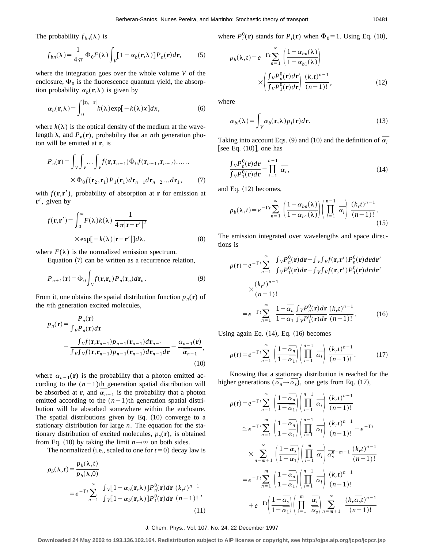The probability  $f_{bn}(\lambda)$  is

$$
f_{bn}(\lambda) = \frac{1}{4\pi} \Phi_0 F(\lambda) \int_V [1 - \alpha_b(\mathbf{r}, \lambda)] P_n(\mathbf{r}) d\mathbf{r},
$$
 (5)

where the integration goes over the whole volume *V* of the enclosure,  $\Phi_0$  is the fluorescence quantum yield, the absorption probability  $\alpha_b(\mathbf{r},\lambda)$  is given by

$$
\alpha_b(\mathbf{r}, \lambda) = \int_0^{|\mathbf{r}_b - \mathbf{r}|} k(\lambda) \exp[-k(\lambda)x] dx, \tag{6}
$$

where  $k(\lambda)$  is the optical density of the medium at the wavelength  $\lambda$ , and  $P_n(\mathbf{r})$ , probability that an *n*th generation photon will be emitted at **r**, is

$$
P_n(\mathbf{r}) = \int_V \int_V \dots \int_V f(\mathbf{r}, \mathbf{r}_{n-1}) \Phi_0 f(\mathbf{r}_{n-1}, \mathbf{r}_{n-2}) \dots \dots
$$

$$
\times \Phi_0 f(\mathbf{r}_2, \mathbf{r}_1) P_1(\mathbf{r}_1) d\mathbf{r}_{n-1} d\mathbf{r}_{n-2} \dots d\mathbf{r}_1, \tag{7}
$$

with  $f(\mathbf{r}, \mathbf{r}')$ , probability of absorption at **r** for emission at  $\mathbf{r}'$ , given by

$$
f(\mathbf{r}, \mathbf{r}') = \int_0^\infty F(\lambda) k(\lambda) \frac{1}{4 \pi |\mathbf{r} - \mathbf{r}'|^2}
$$
  
× exp[-k(\lambda)|\mathbf{r} - \mathbf{r}'|]d\lambda, (8)

where  $F(\lambda)$  is the normalized emission spectrum.

Equation  $(7)$  can be written as a recurrence relation,

$$
P_{n+1}(\mathbf{r}) = \Phi_0 \int_V f(\mathbf{r}, \mathbf{r}_n) P_n(\mathbf{r}_n) d\mathbf{r}_n.
$$
 (9)

From it, one obtains the spatial distribution function  $p_n(\mathbf{r})$  of the *n*th generation excited molecules,

$$
p_n(\mathbf{r}) = \frac{P_n(\mathbf{r})}{\int_V P_n(\mathbf{r})d\mathbf{r}}
$$
  
= 
$$
\frac{\int_V f(\mathbf{r}, \mathbf{r}_{n-1})p_{n-1}(\mathbf{r}_{n-1})d\mathbf{r}_{n-1}}{\int_V \int_V f(\mathbf{r}, \mathbf{r}_{n-1})p_{n-1}(\mathbf{r}_{n-1})d\mathbf{r}_{n-1}d\mathbf{r}} = \frac{\alpha_{n-1}(\mathbf{r})}{\overline{\alpha}_{n-1}},
$$
  
(10)

where  $\alpha_{n-1}(\mathbf{r})$  is the probability that a photon emitted according to the  $(n-1)$ th generation spatial distribution will cording to the  $(n-1)$ th generation spatial distribution will<br>be absorbed at **r**, and  $\overline{\alpha}_{n-1}$  is the probability that a photon emitted according to the  $(n-1)$ th generation spatial distribution will be absorbed somewhere within the enclosure. The spatial distributions given by Eq.  $(10)$  converge to a stationary distribution for large *n*. The equation for the stationary distribution of excited molecules,  $p_s(\mathbf{r})$ , is obtained from Eq. (10) by taking the limit  $n \rightarrow \infty$  on both sides.

The normalized (i.e., scaled to one for  $t=0$ ) decay law is

$$
\rho_b(\lambda, t) = \frac{p_b(\lambda, t)}{p_b(\lambda, 0)}
$$
  
=  $e^{-\Gamma t} \sum_{n=1}^{\infty} \frac{\int v[1 - \alpha_b(\mathbf{r}, \lambda)] P_n^0(\mathbf{r}) d\mathbf{r}}{\int v[1 - \alpha_b(\mathbf{r}, \lambda)] P_1^0(\mathbf{r}) d\mathbf{r}} \frac{(k_r t)^{n-1}}{(n-1)!},$  (11)

where  $P_i^0(\mathbf{r})$  stands for  $P_i(\mathbf{r})$  when  $\Phi_0 = 1$ . Using Eq. (10),

$$
\rho_b(\lambda, t) = e^{-\Gamma t} \sum_{n=1}^{\infty} \left( \frac{1 - \alpha_{bn}(\lambda)}{1 - \alpha_{b1}(\lambda)} \right)
$$

$$
\times \left( \frac{\int_V P_n^0(\mathbf{r}) d\mathbf{r}}{\int_V P_1^0(\mathbf{r}) d\mathbf{r}} \right) \frac{(k_r t)^{n-1}}{(n-1)!},
$$
(12)

where

$$
\alpha_{bi}(\lambda) = \int_{V} \alpha_b(\mathbf{r}, \lambda) p_i(\mathbf{r}) d\mathbf{r}.
$$
 (13)

Taking into account Eqs. (9) and (10) and the definition of  $\bar{\alpha_i}$ [see Eq.  $(10)$ ], one has

$$
\frac{\int_{V} P_n^0(\mathbf{r}) d\mathbf{r}}{\int_{V} P_1^0(\mathbf{r}) d\mathbf{r}} = \prod_{i=1}^{n-1} \overline{\alpha}_i,
$$
\n(14)

and Eq.  $(12)$  becomes,

$$
\rho_b(\lambda, t) = e^{-\Gamma t} \sum_{n=1}^{\infty} \left( \frac{1 - \alpha_{bn}(\lambda)}{1 - \alpha_{b1}(\lambda)} \right) \left( \prod_{i=1}^{n-1} \overline{\alpha}_i \right) \frac{(k_r t)^{n-1}}{(n-1)!}.
$$
\n(15)

The emission integrated over wavelengths and space directions is

$$
\rho(t) = e^{-\Gamma t} \sum_{n=1}^{\infty} \frac{\int_{V} P_{n}^{0}(\mathbf{r}) d\mathbf{r} - \int_{V} \int_{V} f(\mathbf{r}, \mathbf{r}') P_{n}^{0}(\mathbf{r}) d\mathbf{r} d\mathbf{r}'}{\int_{V} P_{1}^{0}(\mathbf{r}) d\mathbf{r} - \int_{V} \int_{V} f(\mathbf{r}, \mathbf{r}') P_{1}^{0}(\mathbf{r}) d\mathbf{r} d\mathbf{r}'}\n\times \frac{(k_{r}t)^{n-1}}{(n-1)!}\n= e^{-\Gamma t} \sum_{n=1}^{\infty} \frac{1 - \overline{\alpha}_{n}}{1 - \overline{\alpha}_{1}} \frac{\int_{V} P_{n}^{0}(\mathbf{r}) d\mathbf{r}}{\int_{V} P_{1}^{0}(\mathbf{r}) d\mathbf{r}} \frac{(k_{r}t)^{n-1}}{(n-1)!}.
$$
\n(16)

Using again Eq.  $(14)$ , Eq.  $(16)$  becomes

$$
\rho(t) = e^{-\Gamma t} \sum_{n=1}^{\infty} \left( \frac{1 - \overline{\alpha}_n}{1 - \overline{\alpha}_1} \right) \left( \prod_{i=1}^{n-1} \overline{\alpha}_i \right) \frac{\left( k_r t \right)^{n-1}}{\left( n-1 \right)!} . \tag{17}
$$

Knowing that a stationary distribution is reached for the Knowing that a stationary distribution is reached in higher generations  $(\overline{\alpha}_n \rightarrow \overline{\alpha}_s)$ , one gets from Eq. (17),

$$
\rho(t) = e^{-\Gamma t} \sum_{n=1}^{\infty} \left( \frac{1 - \overline{\alpha}_n}{1 - \overline{\alpha}_1} \right) \left( \prod_{i=1}^{n-1} \overline{\alpha}_i \right) \frac{(k_r t)^{n-1}}{(n-1)!}
$$
  
\n
$$
\approx e^{-\Gamma t} \sum_{n=1}^{m} \left( \frac{1 - \overline{\alpha}_n}{1 - \overline{\alpha}_1} \right) \left( \prod_{i=1}^{n-1} \overline{\alpha}_i \right) \frac{(k_r t)^{n-1}}{(n-1)!} + e^{-\Gamma t}
$$
  
\n
$$
\times \sum_{n=m+1}^{\infty} \left( \frac{1 - \overline{\alpha}_s}{1 - \overline{\alpha}_1} \right) \left( \prod_{i=1}^{m} \overline{\alpha}_i \right) \overline{\alpha}_s^{n-m-1} \frac{(k_r t)^{n-1}}{(n-1)!}
$$
  
\n
$$
= e^{-\Gamma t} \sum_{n=1}^{m} \left( \frac{1 - \overline{\alpha}_n}{1 - \overline{\alpha}_1} \right) \left( \prod_{i=1}^{n-1} \overline{\alpha}_i \right) \frac{(k_r t)^{n-1}}{(n-1)!}
$$
  
\n
$$
+ e^{-\Gamma t} \left( \frac{1 - \overline{\alpha}_s}{1 - \overline{\alpha}_1} \right) \left( \prod_{i=1}^{m} \overline{\frac{\alpha}_i}{\overline{\alpha}_s} \right) \sum_{n=m+1}^{\infty} \frac{(k_r \overline{\alpha}_s t)^{n-1}}{(n-1)!}
$$

J. Chem. Phys., Vol. 107, No. 24, 22 December 1997

**Downloaded 24 May 2002 to 193.136.102.164. Redistribution subject to AIP license or copyright, see http://ojps.aip.org/jcpo/jcpcr.jsp**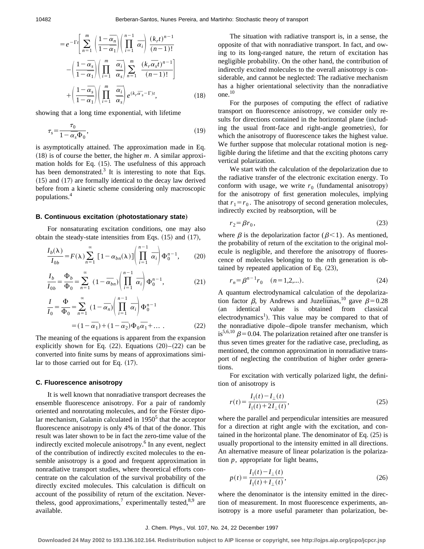$$
=e^{-\Gamma t}\left[\sum_{n=1}^{m}\left(\frac{1-\overline{\alpha}_{n}}{1-\overline{\alpha}_{1}}\right)\left(\prod_{i=1}^{n-1}\overline{\alpha}_{i}\right)\frac{(k_{r}t)^{n-1}}{(n-1)!}\right]
$$

$$
-\left(\frac{1-\overline{\alpha}_{s}}{1-\overline{\alpha}_{1}}\right)\left(\prod_{i=1}^{m}\overline{\frac{\alpha}_{i}}\right)\sum_{n=1}^{m}\frac{(k_{r}\overline{\alpha}_{s}t)^{n-1}}{(n-1)!}\right]
$$

$$
+\left(\frac{1-\overline{\alpha}_{s}}{1-\overline{\alpha}_{1}}\right)\left(\prod_{i=1}^{m}\overline{\frac{\alpha}_{i}}\right)e^{(k_{r}\overline{\alpha}_{s}-\Gamma)t},\qquad(18)
$$

showing that a long time exponential, with lifetime

$$
\tau_s = \frac{\tau_0}{1 - \overline{\alpha}_s \Phi_0},\tag{19}
$$

is asymptotically attained. The approximation made in Eq.  $(18)$  is of course the better, the higher *m*. A similar approximation holds for Eq.  $(15)$ . The usefulness of this approach has been demonstrated.<sup>3</sup> It is interesting to note that Eqs.  $(15)$  and  $(17)$  are formally identical to the decay law derived before from a kinetic scheme considering only macroscopic populations.<sup>4</sup>

### **B. Continuous excitation (photostationary state)**

For nonsaturating excitation conditions, one may also obtain the steady-state intensities from Eqs.  $(15)$  and  $(17)$ ,

$$
\frac{I_b(\lambda)}{I_{0b}} = F(\lambda) \sum_{n=1}^{\infty} \left[ 1 - \alpha_{bn}(\lambda) \right] \left( \prod_{i=1}^{n-1} \overline{\alpha}_i \right) \Phi_0^{n-1}, \qquad (20)
$$

$$
\frac{I_b}{I_{0b}} = \frac{\Phi_b}{\Phi_0} = \sum_{n=1}^{\infty} (1 - \overline{\alpha}_{bn}) \left( \prod_{i=1}^{n-1} \overline{\alpha}_i \right) \Phi_0^{n-1},
$$
(21)

$$
\frac{I}{I_0} = \frac{\Phi}{\Phi_0} = \sum_{n=1}^{\infty} (1 - \overline{\alpha}_n) \left( \prod_{i=1}^{n-1} \overline{\alpha}_i \right) \Phi_0^{n-1}
$$

$$
= (1 - \overline{\alpha}_1) + (1 - \overline{\alpha}_2) \Phi_0 \overline{\alpha}_1 + \dots \qquad (22)
$$

The meaning of the equations is apparent from the expansion explicitly shown for Eq.  $(22)$ . Equations  $(20)$ – $(22)$  can be converted into finite sums by means of approximations similar to those carried out for Eq.  $(17)$ .

#### **C. Fluorescence anisotropy**

It is well known that nonradiative transport decreases the ensemble fluorescence anisotropy. For a pair of randomly oriented and nonrotating molecules, and for the Förster dipolar mechanism, Galanin calculated in  $1950<sup>5</sup>$  that the acceptor fluorescence anisotropy is only 4% of that of the donor. This result was later shown to be in fact the zero-time value of the indirectly excited molecule anisotropy.<sup>6</sup> In any event, neglect of the contribution of indirectly excited molecules to the ensemble anisotropy is a good and frequent approximation in nonradiative transport studies, where theoretical efforts concentrate on the calculation of the survival probability of the directly excited molecules. This calculation is difficult on account of the possibility of return of the excitation. Nevertheless, good approximations,<sup>7</sup> experimentally tested, $8,9$  are available.

The situation with radiative transport is, in a sense, the opposite of that with nonradiative transport. In fact, and owing to its long-ranged nature, the return of excitation has negligible probability. On the other hand, the contribution of indirectly excited molecules to the overall anisotropy is considerable, and cannot be neglected: The radiative mechanism has a higher orientational selectivity than the nonradiative one.<sup>10</sup>

For the purposes of computing the effect of radiative transport on fluorescence anisotropy, we consider only results for directions contained in the horizontal plane (including the usual front-face and right-angle geometries), for which the anisotropy of fluorescence takes the highest value. We further suppose that molecular rotational motion is negligible during the lifetime and that the exciting photons carry vertical polarization.

We start with the calculation of the depolarization due to the radiative transfer of the electronic excitation energy. To conform with usage, we write  $r_0$  (fundamental anisotropy) for the anisotropy of first generation molecules, implying that  $r_1 = r_0$ . The anisotropy of second generation molecules, indirectly excited by reabsorption, will be

$$
r_2 = \beta r_0,\tag{23}
$$

where  $\beta$  is the depolarization factor ( $\beta$ <1). As mentioned, the probability of return of the excitation to the original molecule is negligible, and therefore the anisotropy of fluorescence of molecules belonging to the *n*th generation is obtained by repeated application of Eq.  $(23)$ ,

$$
r_n = \beta^{n-1} r_0 \quad (n = 1, 2, \dots). \tag{24}
$$

A quantum electrodynamical calculation of the depolarization factor  $\beta$ , by Andrews and Juzeliunas,<sup>10</sup> gave  $\beta$ =0.28 (an identical value is obtained from classical electrodynamics<sup>1</sup>). This value may be compared to that of the nonradiative dipole–dipole transfer mechanism, which is<sup>5,6,10</sup>  $\beta$ =0.04. The polarization retained after one transfer is thus seven times greater for the radiative case, precluding, as mentioned, the common approximation in nonradiative transport of neglecting the contribution of higher order generations.

For excitation with vertically polarized light, the definition of anisotropy is

$$
r(t) = \frac{I_{\parallel}(t) - I_{\perp}(t)}{I_{\parallel}(t) + 2I_{\perp}(t)},
$$
\n(25)

where the parallel and perpendicular intensities are measured for a direction at right angle with the excitation, and contained in the horizontal plane. The denominator of Eq.  $(25)$  is usually proportional to the intensity emitted in all directions. An alternative measure of linear polarization is the polarization *p*, appropriate for light beams,

$$
p(t) = \frac{I_{\parallel}(t) - I_{\perp}(t)}{I_{\parallel}(t) + I_{\perp}(t)},
$$
\n(26)

where the denominator is the intensity emitted in the direction of measurement. In most fluorescence experiments, anisotropy is a more useful parameter than polarization, be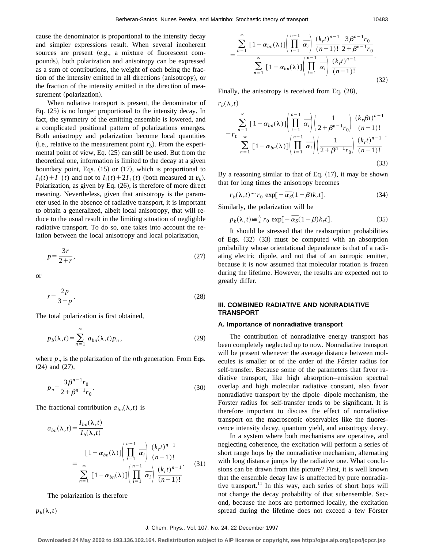cause the denominator is proportional to the intensity decay and simpler expressions result. When several incoherent sources are present (e.g., a mixture of fluorescent compounds), both polarization and anisotropy can be expressed as a sum of contributions, the weight of each being the fraction of the intensity emitted in all directions (anisotropy), or the fraction of the intensity emitted in the direction of measurement (polarization).

When radiative transport is present, the denominator of Eq.  $(25)$  is no longer proportional to the intensity decay. In fact, the symmetry of the emitting ensemble is lowered, and a complicated positional pattern of polarizations emerges. Both anisotropy and polarization become local quantities (i.e., relative to the measurement point  $\mathbf{r}_b$ ). From the experimental point of view, Eq.  $(25)$  can still be used. But from the theoretical one, information is limited to the decay at a given boundary point, Eqs.  $(15)$  or  $(17)$ , which is proportional to  $I_{\parallel}(t) + I_{\perp}(t)$  and not to  $I_{\parallel}(t) + 2I_{\perp}(t)$  (both measured at  $\mathbf{r}_b$ ). Polarization, as given by Eq.  $(26)$ , is therefore of more direct meaning. Nevertheless, given that anisotropy is the parameter used in the absence of radiative transport, it is important to obtain a generalized, albeit local anisotropy, that will reduce to the usual result in the limiting situation of negligible radiative transport. To do so, one takes into account the relation between the local anisotropy and local polarization,

$$
p = \frac{3r}{2+r},\tag{27}
$$

or

$$
r = \frac{2p}{3-p}.\tag{28}
$$

The total polarization is first obtained,

$$
p_b(\lambda, t) = \sum_{n=1}^{\infty} a_{bn}(\lambda, t) p_n,
$$
 (29)

where  $p_n$  is the polarization of the *n*th generation. From Eqs.  $(24)$  and  $(27)$ ,

$$
p_n = \frac{3\beta^{n-1}r_0}{2 + \beta^{n-1}r_0}.
$$
\n(30)

The fractional contribution  $a_{bn}(\lambda, t)$  is

$$
a_{bn}(\lambda, t) = \frac{I_{bn}(\lambda, t)}{I_b(\lambda, t)}
$$
  
= 
$$
\frac{\left[1 - \alpha_{bn}(\lambda)\right] \left(\prod_{i=1}^{n-1} \overline{\alpha}_i\right) \frac{(k_{r}t)^{n-1}}{(n-1)!}}{\sum_{n=1}^{\infty} \left[1 - \alpha_{bn}(\lambda)\right] \left(\prod_{i=1}^{n-1} \overline{\alpha}_i\right) \frac{(k_{r}t)^{n-1}}{(n-1)!}}.
$$
 (31)

The polarization is therefore

 $p_b(\lambda,t)$ 

$$
= \frac{\sum_{n=1}^{\infty} \left[1 - \alpha_{bn}(\lambda)\right] \left(\prod_{i=1}^{n-1} \overline{\alpha}_i\right) \frac{(k_r t)^{n-1}}{(n-1)!} \frac{3 \beta^{n-1} r_0}{2 + \beta^{n-1} r_0} \cdot \sum_{n=1}^{\infty} \left[1 - \alpha_{bn}(\lambda)\right] \left(\prod_{i=1}^{n-1} \overline{\alpha}_i\right) \frac{(k_r t)^{n-1}}{(n-1)!} \cdot \tag{32}
$$

Finally, the anisotropy is received from Eq.  $(28)$ ,

$$
r_b(\lambda, t)
$$
\n
$$
= r_0 \frac{\sum_{n=1}^{\infty} \left[1 - \alpha_{bn}(\lambda)\right] \left(\prod_{i=1}^{n-1} \overline{\alpha}_i\right) \left(\frac{1}{2 + \beta^{n-1} r_0}\right) \frac{(k_r \beta t)^{n-1}}{(n-1)!}
$$
\n
$$
\sum_{n=1}^{\infty} \left[1 - \alpha_{bn}(\lambda)\right] \left(\prod_{i=1}^{n-1} \overline{\alpha}_i\right) \left(\frac{1}{2 + \beta^{n-1} r_0}\right) \frac{(k_r t)^{n-1}}{(n-1)!}.
$$
\n(33)

By a reasoning similar to that of Eq.  $(17)$ , it may be shown that for long times the anisotropy becomes

$$
r_b(\lambda, t) \approx r_0 \exp[-\overline{\alpha}_s(1-\beta)k_r t].
$$
 (34)

Similarly, the polarization will be

$$
p_b(\lambda, t) \approx \frac{3}{2} r_0 \exp[-\overline{\alpha}_s(1-\beta)k_r t].
$$
 (35)

It should be stressed that the reabsorption probabilities of Eqs.  $(32)$ – $(33)$  must be computed with an absorption probability whose orientational dependence is that of a radiating electric dipole, and not that of an isotropic emitter, because it is now assumed that molecular rotation is frozen during the lifetime. However, the results are expected not to greatly differ.

# **III. COMBINED RADIATIVE AND NONRADIATIVE TRANSPORT**

### **A. Importance of nonradiative transport**

The contribution of nonradiative energy transport has been completely neglected up to now. Nonradiative transport will be present whenever the average distance between molecules is smaller or of the order of the Förster radius for self-transfer. Because some of the parameters that favor radiative transport, like high absorption–emission spectral overlap and high molecular radiative constant, also favor nonradiative transport by the dipole–dipole mechanism, the Förster radius for self-transfer tends to be significant. It is therefore important to discuss the effect of nonradiative transport on the macroscopic observables like the fluorescence intensity decay, quantum yield, and anisotropy decay.

In a system where both mechanisms are operative, and neglecting coherence, the excitation will perform a series of short range hops by the nonradiative mechanism, alternating with long distance jumps by the radiative one. What conclusions can be drawn from this picture? First, it is well known that the ensemble decay law is unaffected by pure nonradiative transport.<sup>11</sup> In this way, each series of short hops will not change the decay probability of that subensemble. Second, because the hops are performed locally, the excitation spread during the lifetime does not exceed a few Förster

#### J. Chem. Phys., Vol. 107, No. 24, 22 December 1997

**Downloaded 24 May 2002 to 193.136.102.164. Redistribution subject to AIP license or copyright, see http://ojps.aip.org/jcpo/jcpcr.jsp**